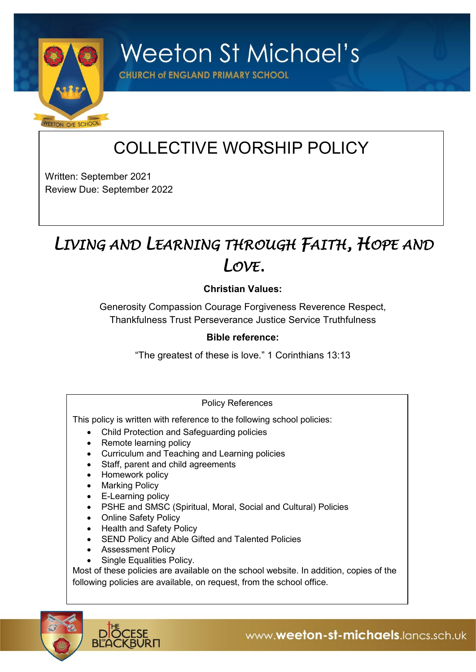

**Weeton St Michael's** 

**CHURCH of ENGLAND PRIMARY SCHOOL** 

# COLLECTIVE WORSHIP POLICY

Written: September 2021 Review Due: September 2022

## *LIVING AND LEARNING THROUGH FAITH, HOPE AND LOVE.*

## **Christian Values:**

Generosity Compassion Courage Forgiveness Reverence Respect, Thankfulness Trust Perseverance Justice Service Truthfulness

### **Bible reference:**

"The greatest of these is love." 1 Corinthians 13:13

### Policy References

This policy is written with reference to the following school policies:

- Child Protection and Safeguarding policies
- Remote learning policy
- Curriculum and Teaching and Learning policies
- Staff, parent and child agreements
- Homework policy
- Marking Policy
- E-Learning policy
- PSHE and SMSC (Spiritual, Moral, Social and Cultural) Policies
- Online Safety Policy
- Health and Safety Policy
- SEND Policy and Able Gifted and Talented Policies
- Assessment Policy
- Single Equalities Policy.

Most of these policies are available on the school website. In addition, copies of the following policies are available, on request, from the school office.

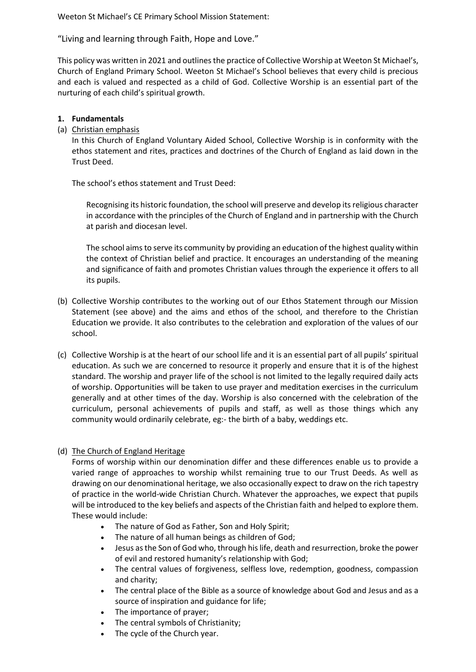Weeton St Michael's CE Primary School Mission Statement:

"Living and learning through Faith, Hope and Love."

This policy was written in 2021 and outlines the practice of Collective Worship at Weeton St Michael's, Church of England Primary School. Weeton St Michael's School believes that every child is precious and each is valued and respected as a child of God. Collective Worship is an essential part of the nurturing of each child's spiritual growth.

#### **1. Fundamentals**

(a) Christian emphasis

In this Church of England Voluntary Aided School, Collective Worship is in conformity with the ethos statement and rites, practices and doctrines of the Church of England as laid down in the Trust Deed.

The school's ethos statement and Trust Deed:

Recognising its historic foundation, the school will preserve and develop its religious character in accordance with the principles of the Church of England and in partnership with the Church at parish and diocesan level.

The school aims to serve its community by providing an education of the highest quality within the context of Christian belief and practice. It encourages an understanding of the meaning and significance of faith and promotes Christian values through the experience it offers to all its pupils.

- (b) Collective Worship contributes to the working out of our Ethos Statement through our Mission Statement (see above) and the aims and ethos of the school, and therefore to the Christian Education we provide. It also contributes to the celebration and exploration of the values of our school.
- (c) Collective Worship is at the heart of our school life and it is an essential part of all pupils' spiritual education. As such we are concerned to resource it properly and ensure that it is of the highest standard. The worship and prayer life of the school is not limited to the legally required daily acts of worship. Opportunities will be taken to use prayer and meditation exercises in the curriculum generally and at other times of the day. Worship is also concerned with the celebration of the curriculum, personal achievements of pupils and staff, as well as those things which any community would ordinarily celebrate, eg:- the birth of a baby, weddings etc.

#### (d) The Church of England Heritage

Forms of worship within our denomination differ and these differences enable us to provide a varied range of approaches to worship whilst remaining true to our Trust Deeds. As well as drawing on our denominational heritage, we also occasionally expect to draw on the rich tapestry of practice in the world-wide Christian Church. Whatever the approaches, we expect that pupils will be introduced to the key beliefs and aspects of the Christian faith and helped to explore them. These would include:

- The nature of God as Father, Son and Holy Spirit;
- The nature of all human beings as children of God;
- Jesus as the Son of God who, through his life, death and resurrection, broke the power of evil and restored humanity's relationship with God;
- The central values of forgiveness, selfless love, redemption, goodness, compassion and charity;
- The central place of the Bible as a source of knowledge about God and Jesus and as a source of inspiration and guidance for life;
- The importance of prayer;
- The central symbols of Christianity;
- The cycle of the Church year.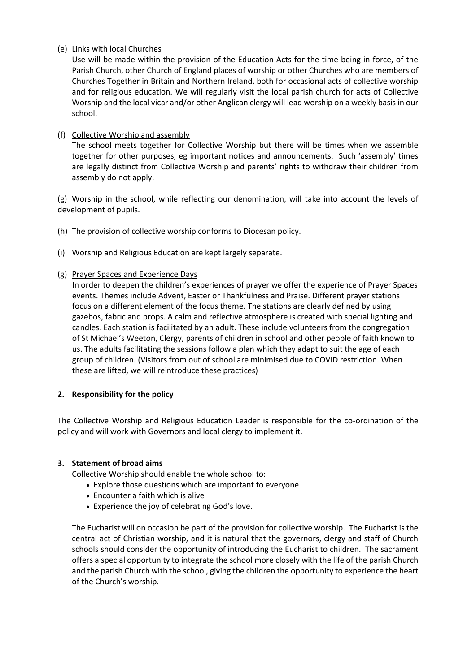(e) Links with local Churches

Use will be made within the provision of the Education Acts for the time being in force, of the Parish Church, other Church of England places of worship or other Churches who are members of Churches Together in Britain and Northern Ireland, both for occasional acts of collective worship and for religious education. We will regularly visit the local parish church for acts of Collective Worship and the local vicar and/or other Anglican clergy will lead worship on a weekly basis in our school.

(f) Collective Worship and assembly

The school meets together for Collective Worship but there will be times when we assemble together for other purposes, eg important notices and announcements. Such 'assembly' times are legally distinct from Collective Worship and parents' rights to withdraw their children from assembly do not apply.

(g) Worship in the school, while reflecting our denomination, will take into account the levels of development of pupils.

- (h) The provision of collective worship conforms to Diocesan policy.
- (i) Worship and Religious Education are kept largely separate.

#### (g) Prayer Spaces and Experience Days

In order to deepen the children's experiences of prayer we offer the experience of Prayer Spaces events. Themes include Advent, Easter or Thankfulness and Praise. Different prayer stations focus on a different element of the focus theme. The stations are clearly defined by using gazebos, fabric and props. A calm and reflective atmosphere is created with special lighting and candles. Each station is facilitated by an adult. These include volunteers from the congregation of St Michael's Weeton, Clergy, parents of children in school and other people of faith known to us. The adults facilitating the sessions follow a plan which they adapt to suit the age of each group of children. (Visitors from out of school are minimised due to COVID restriction. When these are lifted, we will reintroduce these practices)

#### **2. Responsibility for the policy**

The Collective Worship and Religious Education Leader is responsible for the co-ordination of the policy and will work with Governors and local clergy to implement it.

#### **3. Statement of broad aims**

Collective Worship should enable the whole school to:

- Explore those questions which are important to everyone
- Encounter a faith which is alive
- Experience the joy of celebrating God's love.

The Eucharist will on occasion be part of the provision for collective worship. The Eucharist is the central act of Christian worship, and it is natural that the governors, clergy and staff of Church schools should consider the opportunity of introducing the Eucharist to children. The sacrament offers a special opportunity to integrate the school more closely with the life of the parish Church and the parish Church with the school, giving the children the opportunity to experience the heart of the Church's worship.